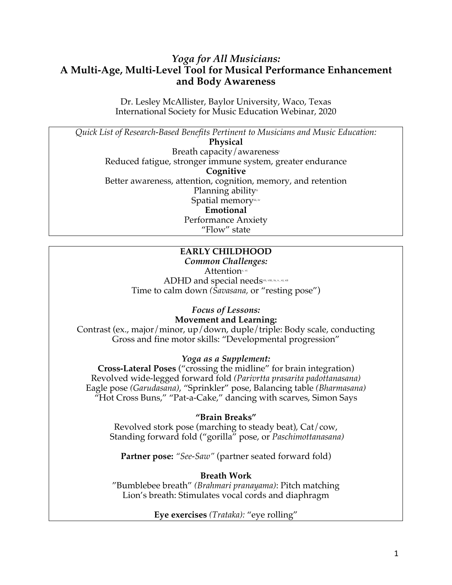# *Yoga for All Musicians:*  **A Multi-Age, Multi-Level Tool for Musical Performance Enhancement and Body Awareness**

Dr. Lesley McAllister, Baylor University, Waco, Texas International Society for Music Education Webinar, 2020

*Quick List of Research-Based Benefits Pertinent to Musicians and Music Education:*

**Physical** Breath capacity/awarenessi Reduced fatigue, stronger immune system, greater endurance **Cognitive** Better awareness, attention, cognition, memory, and retention Planning ability<sup>ii</sup> Spatial memoryiii, iv **Emotional**

Performance Anxiety "Flow" state

# **EARLY CHILDHOOD**

*Common Challenges:* Attentionv, vi ADHD and special needsvii, viii, ix, x, xi, xii Time to calm down *(Savasana,* or "resting pose")

#### *Focus of Lessons:* **Movement and Learning:**

Contrast (ex., major/minor, up/down, duple/triple: Body scale, conducting Gross and fine motor skills: "Developmental progression"

## *Yoga as a Supplement:*

**Cross-Lateral Poses** ("crossing the midline" for brain integration) Revolved wide-legged forward fold *(Parivrtta prasarita padottanasana)* Eagle pose *(Garudasana)*, "Sprinkler" pose, Balancing table *(Bharmasana)* "Hot Cross Buns," "Pat-a-Cake," dancing with scarves, Simon Says

## **"Brain Breaks"**

Revolved stork pose (marching to steady beat), Cat/cow, Standing forward fold ("gorilla" pose, or *Paschimottanasana)*

**Partner pose:** *"See-Saw"* (partner seated forward fold)

# **Breath Work**

"Bumblebee breath" *(Brahmari pranayama)*: Pitch matching Lion's breath: Stimulates vocal cords and diaphragm

**Eye exercises** *(Trataka):* "eye rolling"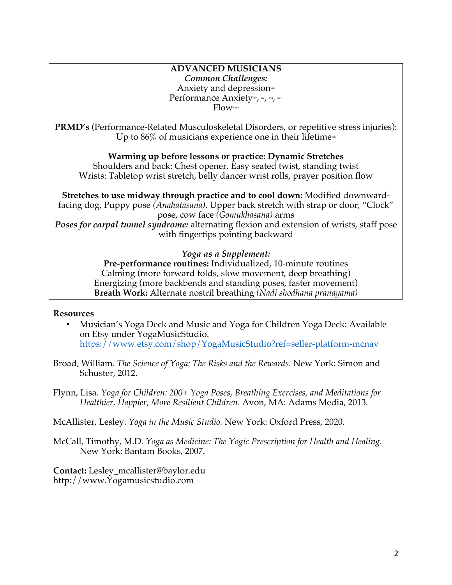#### **ADVANCED MUSICIANS** *Common Challenges:* Anxiety and depression<sup>\*\*\*</sup> Performance Anxietyxiv, xv<sub>i,</sub> xvi, xvii Flowxviii

**PRMD's** (Performance-Related Musculoskeletal Disorders, or repetitive stress injuries): Up to  $86\%$  of musicians experience one in their lifetime $\dot{x}$ 

### **Warming up before lessons or practice: Dynamic Stretches**

Shoulders and back: Chest opener, Easy seated twist, standing twist Wrists: Tabletop wrist stretch, belly dancer wrist rolls, prayer position flow

**Stretches to use midway through practice and to cool down:** Modified downwardfacing dog, Puppy pose *(Anahatasana),* Upper back stretch with strap or door, "Clock" pose, cow face *(Gomukhasana)* arms *Poses for carpal tunnel syndrome:* alternating flexion and extension of wrists, staff pose with fingertips pointing backward

### *Yoga as a Supplement:*

**Pre-performance routines:** Individualized, 10-minute routines Calming (more forward folds, slow movement, deep breathing) Energizing (more backbends and standing poses, faster movement) **Breath Work:** Alternate nostril breathing *(Nadi shodhana pranayama)*

### **Resources**

- Musician's Yoga Deck and Music and Yoga for Children Yoga Deck: Available on Etsy under YogaMusicStudio. https://www.etsy.com/shop/YogaMusicStudio?ref=seller-platform-mcnav
- Broad, William. *The Science of Yoga: The Risks and the Rewards.* New York: Simon and Schuster, 2012.
- Flynn, Lisa. *Yoga for Children: 200+ Yoga Poses, Breathing Exercises, and Meditations for Healthier, Happier, More Resilient Children*. Avon, MA: Adams Media, 2013.

McAllister, Lesley. *Yoga in the Music Studio.* New York: Oxford Press, 2020.

McCall, Timothy, M.D. *Yoga as Medicine: The Yogic Prescription for Health and Healing.*  New York: Bantam Books, 2007.

**Contact:** Lesley\_mcallister@baylor.edu http://www.Yogamusicstudio.com